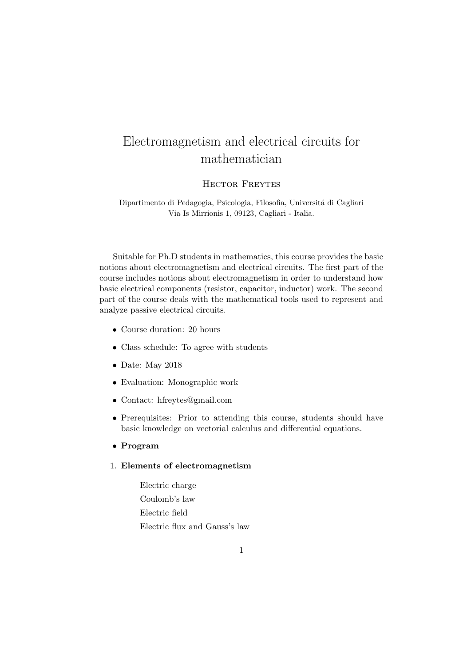# Electromagnetism and electrical circuits for mathematician

## Hector Freytes

Dipartimento di Pedagogia, Psicologia, Filosofia, Universitá di Cagliari Via Is Mirrionis 1, 09123, Cagliari - Italia.

Suitable for Ph.D students in mathematics, this course provides the basic notions about electromagnetism and electrical circuits. The first part of the course includes notions about electromagnetism in order to understand how basic electrical components (resistor, capacitor, inductor) work. The second part of the course deals with the mathematical tools used to represent and analyze passive electrical circuits.

- Course duration: 20 hours
- Class schedule: To agree with students
- Date: May 2018
- Evaluation: Monographic work
- Contact: hfreytes@gmail.com
- Prerequisites: Prior to attending this course, students should have basic knowledge on vectorial calculus and differential equations.
- Program
- 1. Elements of electromagnetism
	- Electric charge Coulomb's law Electric field Electric flux and Gauss's law